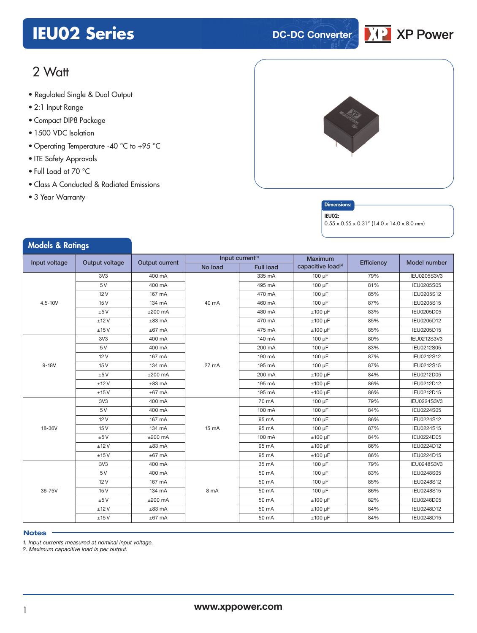# **IEU02 Series DC-DC** Converter



# 2 Watt

- **xxx Series** Regulated Single & Dual Output
- 2:1 Input Range
- Compact DIP8 Package
- 1500 VDC Isolation
- Operating Temperature -40 °C to +95 °C
- ITE Safety Approvals
- Full Load at 70 °C
- Class A Conducted & Radiated Emissions
- 3 Year Warranty

Models & Patings



#### **Dimensions**

#### IEU02:

 $0.55 \times 0.55 \times 0.31''$  (14.0 x 14.0 x 8.0 mm)

| moders of numigs |                 |                       |                              |                  |                                |            |              |
|------------------|-----------------|-----------------------|------------------------------|------------------|--------------------------------|------------|--------------|
| Input voltage    | Output voltage  | <b>Output current</b> | Input current <sup>(1)</sup> |                  | <b>Maximum</b>                 | Efficiency | Model number |
|                  |                 |                       | No load                      | <b>Full load</b> | capacitive load <sup>(2)</sup> |            |              |
|                  | 3V3             | 400 mA                |                              | 335 mA           | $100 \mu F$                    | 79%        | IEU0205S3V3  |
|                  | 5 V             | 400 mA                |                              | 495 mA           | 100 µF                         | 81%        | IEU0205S05   |
|                  | 12V             | 167 mA                |                              | 470 mA           | 100 µF                         | 85%        | IEU0205S12   |
| $4.5 - 10V$      | 15V             | 134 mA                | 40 mA                        | 460 mA           | 100 µF                         | 87%        | IEU0205S15   |
|                  | ±5V             | $±200$ mA             |                              | 480 mA           | $±100 \mu F$                   | 83%        | IEU0205D05   |
|                  | ±12V            | $±83$ mA              |                              | 470 mA           | $±100~\mu F$                   | 85%        | IEU0205D12   |
|                  | ±15V            | $±67$ mA              |                              | 475 mA           | $±100~\mu F$                   | 85%        | IEU0205D15   |
|                  | 3V3             | 400 mA                |                              | 140 mA           | $100 \mu F$                    | 80%        | IEU0212S3V3  |
|                  | 5 V             | 400 mA                |                              | 200 mA           | 100 µF                         | 83%        | IEU0212S05   |
|                  | 12V             | 167 mA                |                              | 190 mA           | 100 µF                         | 87%        | IEU0212S12   |
| $9-18V$          | 15V             | 134 mA                | 27 mA                        | 195 mA           | 100 µF                         | 87%        | IEU0212S15   |
|                  | ±5V             | $±200$ mA             |                              | 200 mA           | $±100~\mu F$                   | 84%        | IEU0212D05   |
|                  | ±12V            | $±83$ mA              |                              | 195 mA           | $±100~\mu F$                   | 86%        | IEU0212D12   |
|                  | ±15V            | $±67$ mA              |                              | 195 mA           | $±100 \mu F$                   | 86%        | IEU0212D15   |
|                  | 3V <sub>3</sub> | 400 mA                |                              | 70 mA            | 100 µF                         | 79%        | IEU0224S3V3  |
|                  | 5 V             | 400 mA                |                              | 100 mA           | 100 µF                         | 84%        | IEU0224S05   |
|                  | 12V             | 167 mA                | $15 \text{ mA}$              | 95 mA            | 100 µF                         | 86%        | IEU0224S12   |
| 18-36V           | 15V             | 134 mA                |                              | 95 mA            | 100 µF                         | 87%        | IEU0224S15   |
|                  | ±5V             | $±200$ mA             |                              | 100 mA           | $±100 \mu F$                   | 84%        | IEU0224D05   |
|                  | ±12V            | $±83$ mA              |                              | 95 mA            | $±100 \mu F$                   | 86%        | IEU0224D12   |
|                  | ±15V            | $±67$ mA              |                              | 95 mA            | $±100~\mu F$                   | 86%        | IEU0224D15   |
|                  | 3V3             | 400 mA                |                              | 35 mA            | 100 µF                         | 79%        | IEU0248S3V3  |
|                  | 5 V             | 400 mA                |                              | 50 mA            | $100 \mu F$                    | 83%        | IEU0248S05   |
|                  | 12V             | 167 mA                |                              | 50 mA            | 100 µF                         | 85%        | IEU0248S12   |
| 36-75V           | 15V             | 134 mA                | 8 mA                         | 50 mA            | 100 µF                         | 86%        | IEU0248S15   |
|                  | ±5V             | $±200$ mA             |                              | 50 mA            | $±100~\mu F$                   | 82%        | IEU0248D05   |
|                  | ±12V            | $±83$ mA              |                              | 50 mA            | $±100 \mu F$                   | 84%        | IEU0248D12   |
|                  | ±15V            | $±67$ mA              |                              | 50 mA            | $±100 \mu F$                   | 84%        | IEU0248D15   |

#### **Notes**

*1. Input currents measured at nominal input voltage.*

*2. Maximum capacitive load is per output.*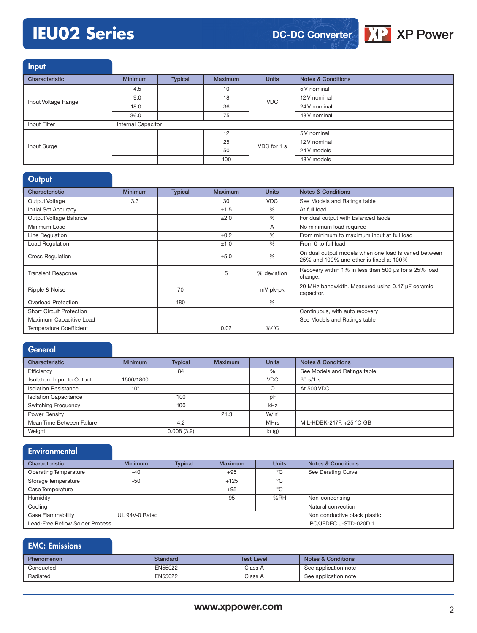# **IEU02 Series**

**DC-DC Converter**



Input

| المتناسب المتعاط    |                    |         |                |              |                               |
|---------------------|--------------------|---------|----------------|--------------|-------------------------------|
| Characteristic      | <b>Minimum</b>     | Typical | <b>Maximum</b> | <b>Units</b> | <b>Notes &amp; Conditions</b> |
|                     | 4.5                |         | 10             | <b>VDC</b>   | 5 V nominal                   |
| Input Voltage Range | 9.0                |         | 18             |              | 12 V nominal                  |
|                     | 18.0               |         | 36             |              | 24 V nominal                  |
|                     | 36.0               |         | 75             |              | 48 V nominal                  |
| Input Filter        | Internal Capacitor |         |                |              |                               |
|                     |                    |         | 12             | VDC for 1 s  | 5 V nominal                   |
| Input Surge         |                    |         | 25             |              | 12 V nominal                  |
|                     |                    |         | 50             |              | 24 V models                   |
|                     |                    |         | 100            |              | 48 V models                   |

# **Output**

| Characteristic                  | <b>Minimum</b> | <b>Typical</b> | Maximum | <b>Units</b>  | <b>Notes &amp; Conditions</b>                                                                    |
|---------------------------------|----------------|----------------|---------|---------------|--------------------------------------------------------------------------------------------------|
| Output Voltage                  | 3.3            |                | 30      | <b>VDC</b>    | See Models and Ratings table                                                                     |
| <b>Initial Set Accuracy</b>     |                |                | ±1.5    | $\%$          | At full load                                                                                     |
| Output Voltage Balance          |                |                | ±2.0    | $\%$          | For dual output with balanced laods                                                              |
| Minimum Load                    |                |                |         | A             | No minimum load required                                                                         |
| Line Regulation                 |                |                | ±0.2    | %             | From minimum to maximum input at full load                                                       |
| <b>Load Regulation</b>          |                |                | ±1.0    | $\%$          | From 0 to full load                                                                              |
| <b>Cross Regulation</b>         |                |                | ±5.0    | $\frac{0}{0}$ | On dual output models when one load is varied between<br>25% and 100% and other is fixed at 100% |
| <b>Transient Response</b>       |                |                | 5       | % deviation   | Recovery within 1% in less than 500 us for a 25% load<br>change.                                 |
| Ripple & Noise                  |                | 70             |         | mV pk-pk      | 20 MHz bandwidth. Measured using 0.47 µF ceramic<br>capacitor.                                   |
| Overload Protection             |                | 180            |         | %             |                                                                                                  |
| <b>Short Circuit Protection</b> |                |                |         |               | Continuous, with auto recovery                                                                   |
| Maximum Capacitive Load         |                |                |         |               | See Models and Ratings table                                                                     |
| <b>Temperature Coefficient</b>  |                |                | 0.02    | $\%$ /°C      |                                                                                                  |

| <b>General</b>               |                 |            |                |              |                               |
|------------------------------|-----------------|------------|----------------|--------------|-------------------------------|
| Characteristic               | <b>Minimum</b>  | Typical    | <b>Maximum</b> | <b>Units</b> | <b>Notes &amp; Conditions</b> |
| Efficiency                   |                 | 84         |                | %            | See Models and Ratings table  |
| Isolation: Input to Output   | 1500/1800       |            |                | <b>VDC</b>   | 60 s/1 s                      |
| <b>Isolation Resistance</b>  | 10 <sup>9</sup> |            |                | Ω            | At 500 VDC                    |
| <b>Isolation Capacitance</b> |                 | 100        |                | pF           |                               |
| <b>Switching Frequency</b>   |                 | 100        |                | kHz          |                               |
| Power Density                |                 |            | 21.3           | $W/in^3$     |                               |
| Mean Time Between Failure    |                 | 4.2        |                | <b>MHrs</b>  | MIL-HDBK-217F, +25 °C GB      |
| Weight                       |                 | 0.008(3.9) |                | Ib(g)        |                               |

| Environmental                   |                |                |                |              |                               |
|---------------------------------|----------------|----------------|----------------|--------------|-------------------------------|
| Characteristic                  | <b>Minimum</b> | <b>Typical</b> | <b>Maximum</b> | <b>Units</b> | <b>Notes &amp; Conditions</b> |
| <b>Operating Temperature</b>    | $-40$          |                | $+95$          | °C           | See Derating Curve.           |
| Storage Temperature             | $-50$          |                | $+125$         | °C           |                               |
| Case Temperature                |                |                | $+95$          | °C           |                               |
| Humidity                        |                |                | 95             | %RH          | Non-condensing                |
| Cooling                         |                |                |                |              | Natural convection            |
| Case Flammability               | UL 94V-0 Rated |                |                |              | Non conductive black plastic  |
| Lead-Free Reflow Solder Process |                |                |                |              | IPC/JEDEC J-STD-020D.1        |

## EMC: Emissions

| <b>Phenomenon</b> | Standard | <b>Test Level</b> | <b>Notes &amp; Conditions</b> |
|-------------------|----------|-------------------|-------------------------------|
| Conducted         | EN55022  | Class A           | See application note          |
| Radiated          | EN55022  | Class A           | See application note          |